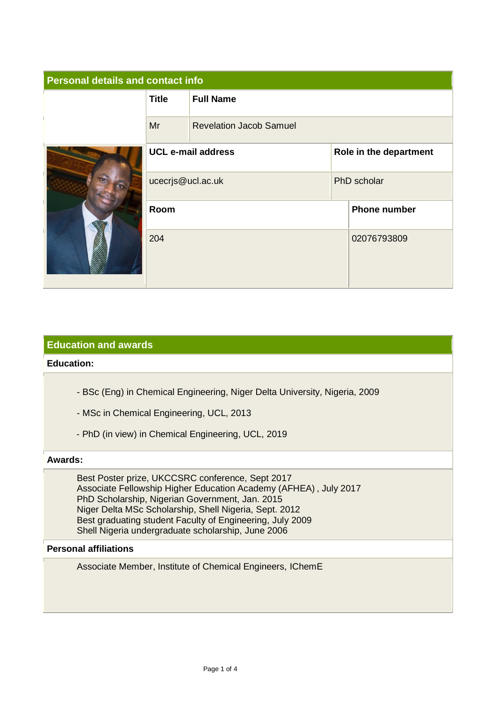| <b>Personal details and contact info</b> |                           |                                |                        |                     |
|------------------------------------------|---------------------------|--------------------------------|------------------------|---------------------|
|                                          | <b>Title</b>              | <b>Full Name</b>               |                        |                     |
|                                          | Mr                        | <b>Revelation Jacob Samuel</b> |                        |                     |
|                                          | <b>UCL e-mail address</b> |                                | Role in the department |                     |
|                                          | ucecrjs@ucl.ac.uk         |                                | PhD scholar            |                     |
|                                          | Room                      |                                |                        | <b>Phone number</b> |
|                                          | 204                       |                                |                        | 02076793809         |

# **Education and awards**

# **Education:**

- BSc (Eng) in Chemical Engineering, Niger Delta University, Nigeria, 2009
- MSc in Chemical Engineering, UCL, 2013
- PhD (in view) in Chemical Engineering, UCL, 2019

#### **Awards:**

Best Poster prize, UKCCSRC conference, Sept 2017 Associate Fellowship Higher Education Academy (AFHEA) , July 2017 PhD Scholarship, Nigerian Government, Jan. 2015 Niger Delta MSc Scholarship, Shell Nigeria, Sept. 2012 Best graduating student Faculty of Engineering, July 2009 Shell Nigeria undergraduate scholarship, June 2006

### **Personal affiliations**

Associate Member, Institute of Chemical Engineers, IChemE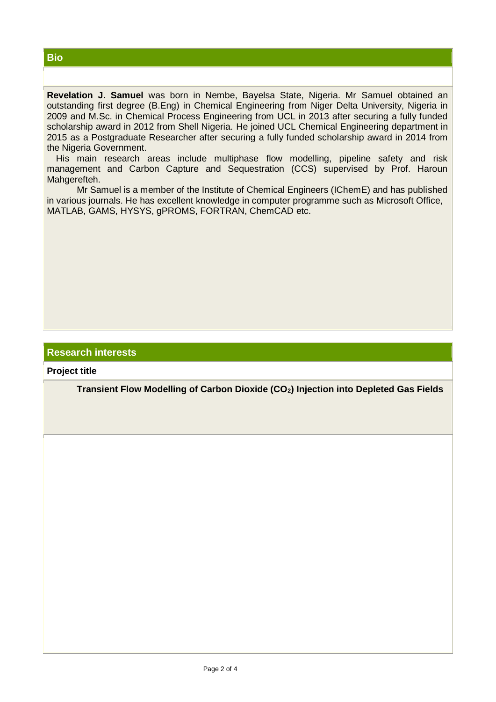**Revelation J. Samuel** was born in Nembe, Bayelsa State, Nigeria. Mr Samuel obtained an outstanding first degree (B.Eng) in Chemical Engineering from Niger Delta University, Nigeria in 2009 and M.Sc. in Chemical Process Engineering from UCL in 2013 after securing a fully funded scholarship award in 2012 from Shell Nigeria. He joined UCL Chemical Engineering department in 2015 as a Postgraduate Researcher after securing a fully funded scholarship award in 2014 from the Nigeria Government.

His main research areas include multiphase flow modelling, pipeline safety and risk management and Carbon Capture and Sequestration (CCS) supervised by Prof. Haroun Mahgerefteh.

Mr Samuel is a member of the Institute of Chemical Engineers (IChemE) and has published in various journals. He has excellent knowledge in computer programme such as Microsoft Office, MATLAB, GAMS, HYSYS, gPROMS, FORTRAN, ChemCAD etc.

# **Research interests**

**Project title**

**Transient Flow Modelling of Carbon Dioxide (CO2) Injection into Depleted Gas Fields**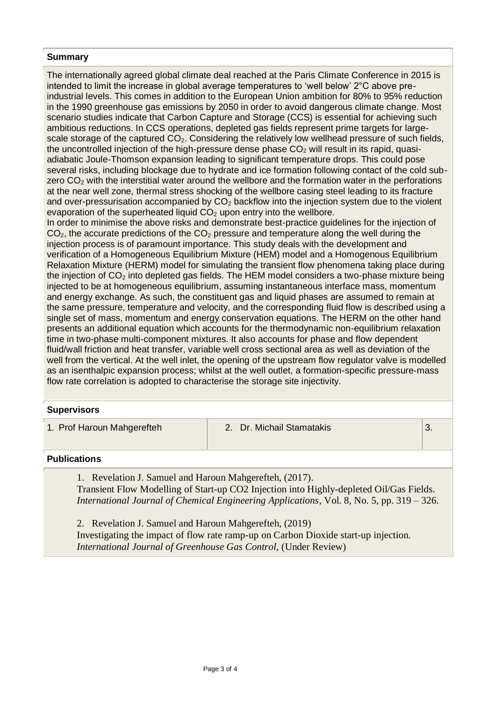### **Summary**

The internationally agreed global climate deal reached at the Paris Climate Conference in 2015 is intended to limit the increase in global average temperatures to 'well below' 2°C above preindustrial levels. This comes in addition to the European Union ambition for 80% to 95% reduction in the 1990 greenhouse gas emissions by 2050 in order to avoid dangerous climate change. Most scenario studies indicate that Carbon Capture and Storage (CCS) is essential for achieving such ambitious reductions. In CCS operations, depleted gas fields represent prime targets for largescale storage of the captured  $CO<sub>2</sub>$ . Considering the relatively low wellhead pressure of such fields, the uncontrolled injection of the high-pressure dense phase  $CO<sub>2</sub>$  will result in its rapid, quasiadiabatic Joule-Thomson expansion leading to significant temperature drops. This could pose several risks, including blockage due to hydrate and ice formation following contact of the cold subzero  $CO<sub>2</sub>$  with the interstitial water around the wellbore and the formation water in the perforations at the near well zone, thermal stress shocking of the wellbore casing steel leading to its fracture and over-pressurisation accompanied by  $CO<sub>2</sub>$  backflow into the injection system due to the violent evaporation of the superheated liquid  $CO<sub>2</sub>$  upon entry into the wellbore.

In order to minimise the above risks and demonstrate best-practice guidelines for the injection of  $CO<sub>2</sub>$ , the accurate predictions of the  $CO<sub>2</sub>$  pressure and temperature along the well during the injection process is of paramount importance. This study deals with the development and verification of a Homogeneous Equilibrium Mixture (HEM) model and a Homogenous Equilibrium Relaxation Mixture (HERM) model for simulating the transient flow phenomena taking place during the injection of  $CO<sub>2</sub>$  into depleted gas fields. The HEM model considers a two-phase mixture being injected to be at homogeneous equilibrium, assuming instantaneous interface mass, momentum and energy exchange. As such, the constituent gas and liquid phases are assumed to remain at the same pressure, temperature and velocity, and the corresponding fluid flow is described using a single set of mass, momentum and energy conservation equations. The HERM on the other hand presents an additional equation which accounts for the thermodynamic non-equilibrium relaxation time in two-phase multi-component mixtures. It also accounts for phase and flow dependent fluid/wall friction and heat transfer, variable well cross sectional area as well as deviation of the well from the vertical. At the well inlet, the opening of the upstream flow regulator valve is modelled as an isenthalpic expansion process; whilst at the well outlet, a formation-specific pressure-mass flow rate correlation is adopted to characterise the storage site injectivity.

#### **Supervisors**

1. Prof Haroun Mahgerefteh 2. Dr. Michail Stamatakis 3.

# **Publications**

1. Revelation J. Samuel and Haroun Mahgerefteh, (2017). Transient Flow Modelling of Start-up CO2 Injection into Highly-depleted Oil/Gas Fields. *International Journal of Chemical Engineering Applications*, Vol. 8, No. 5, pp. 319 – 326.

2. Revelation J. Samuel and Haroun Mahgerefteh, (2019) Investigating the impact of flow rate ramp-up on Carbon Dioxide start-up injection. *International Journal of Greenhouse Gas Control,* (Under Review)